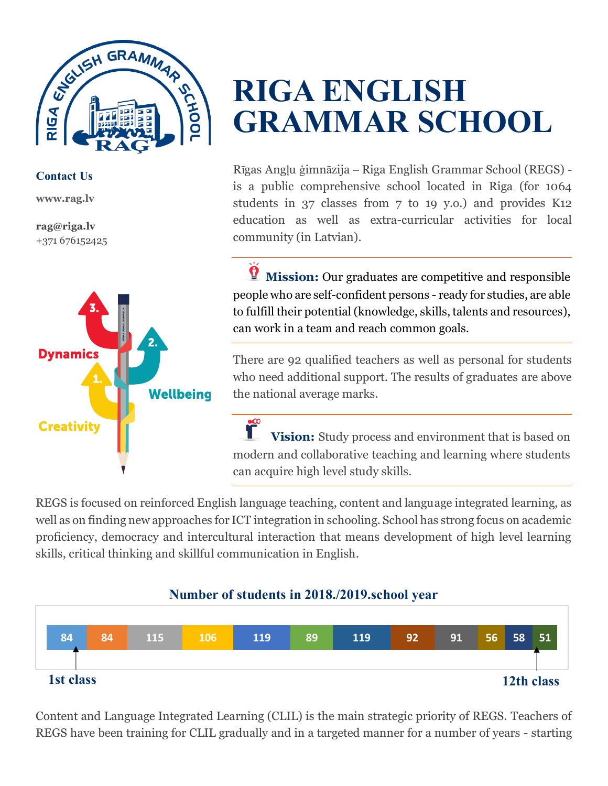

**Contact Us**

**www.rag.lv**

**rag@riga.lv** +371 676152425



## **RIGA ENGLISH GRAMMAR SCHOOL**

Rīgas Angļu ģimnāzija – Riga English Grammar School (REGS) is a public comprehensive school located in Riga (for 1064 students in 37 classes from 7 to 19 y.o.) and provides K12 education as well as extra-curricular activities for local community (in Latvian).

*T* Mission: Our graduates are competitive and responsible people who are self-confident persons - ready for studies, are able to fulfill their potential (knowledge, skills, talents and resources), can work in a team and reach common goals.

There are 92 qualified teachers as well as personal for students who need additional support. The results of graduates are above the national average marks.

*C* **Vision:** Study process and environment that is based on modern and collaborative teaching and learning where students can acquire high level study skills.

REGS is focused on reinforced English language teaching, content and language integrated learning, as well as on finding new approaches for ICT integration in schooling. School has strong focus on academic proficiency, democracy and intercultural interaction that means development of high level learning skills, critical thinking and skillful communication in English.

## **Number of students in 2018./2019.school year**



Content and Language Integrated Learning (CLIL) is the main strategic priority of REGS. Teachers of REGS have been training for CLIL gradually and in a targeted manner for a number of years - starting